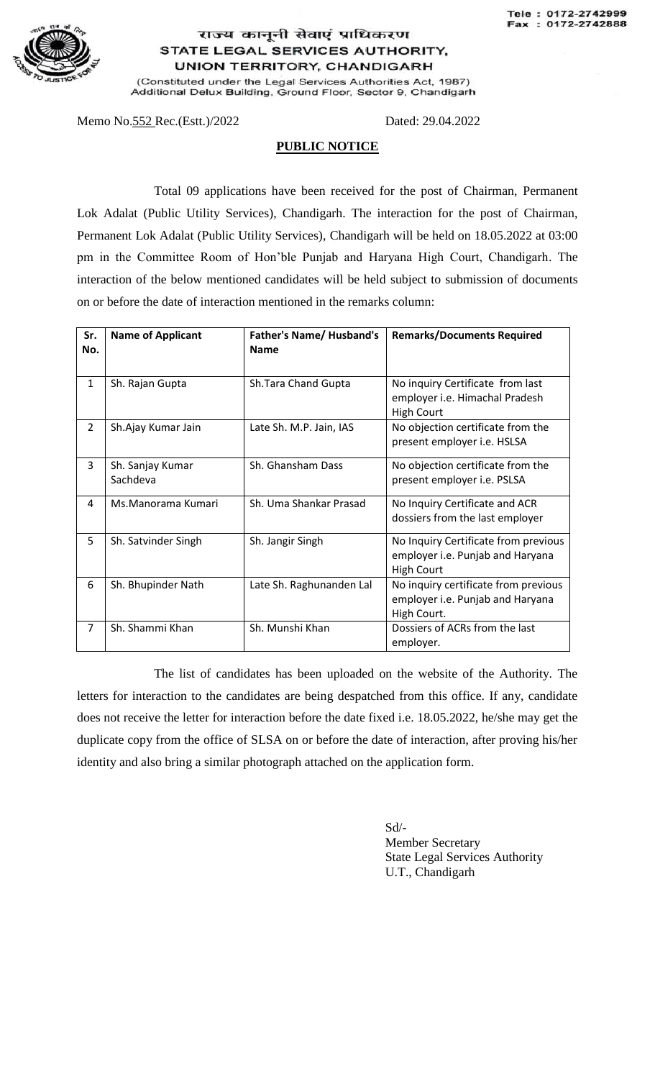

## राज्य कानूनी सेवाएं प्राधिकरण STATE LEGAL SERVICES AUTHORITY, **UNION TERRITORY, CHANDIGARH**

(Constituted under the Legal Services Authorities Act, 1987) Additional Delux Building, Ground Floor, Sector 9, Chandigarh

Memo No. 552 Rec. (Estt.)/2022 Dated: 29.04.2022

## **PUBLIC NOTICE**

Total 09 applications have been received for the post of Chairman, Permanent Lok Adalat (Public Utility Services), Chandigarh. The interaction for the post of Chairman, Permanent Lok Adalat (Public Utility Services), Chandigarh will be held on 18.05.2022 at 03:00 pm in the Committee Room of Hon'ble Punjab and Haryana High Court, Chandigarh. The interaction of the below mentioned candidates will be held subject to submission of documents on or before the date of interaction mentioned in the remarks column:

| Sr.<br>No.     | <b>Name of Applicant</b>     | <b>Father's Name/ Husband's</b><br><b>Name</b> | <b>Remarks/Documents Required</b>                                                             |
|----------------|------------------------------|------------------------------------------------|-----------------------------------------------------------------------------------------------|
|                |                              |                                                |                                                                                               |
| $\mathbf{1}$   | Sh. Rajan Gupta              | Sh.Tara Chand Gupta                            | No inquiry Certificate from last<br>employer i.e. Himachal Pradesh<br><b>High Court</b>       |
| $\overline{2}$ | Sh.Ajay Kumar Jain           | Late Sh. M.P. Jain, IAS                        | No objection certificate from the<br>present employer i.e. HSLSA                              |
| 3              | Sh. Sanjay Kumar<br>Sachdeva | Sh. Ghansham Dass                              | No objection certificate from the<br>present employer i.e. PSLSA                              |
| 4              | Ms.Manorama Kumari           | Sh. Uma Shankar Prasad                         | No Inquiry Certificate and ACR<br>dossiers from the last employer                             |
| 5              | Sh. Satvinder Singh          | Sh. Jangir Singh                               | No Inquiry Certificate from previous<br>employer i.e. Punjab and Haryana<br><b>High Court</b> |
| 6              | Sh. Bhupinder Nath           | Late Sh. Raghunanden Lal                       | No inquiry certificate from previous<br>employer i.e. Punjab and Haryana<br>High Court.       |
| $\overline{7}$ | Sh. Shammi Khan              | Sh. Munshi Khan                                | Dossiers of ACRs from the last<br>employer.                                                   |

The list of candidates has been uploaded on the website of the Authority. The letters for interaction to the candidates are being despatched from this office. If any, candidate does not receive the letter for interaction before the date fixed i.e. 18.05.2022, he/she may get the duplicate copy from the office of SLSA on or before the date of interaction, after proving his/her identity and also bring a similar photograph attached on the application form.

> Sd/- Member Secretary State Legal Services Authority U.T., Chandigarh